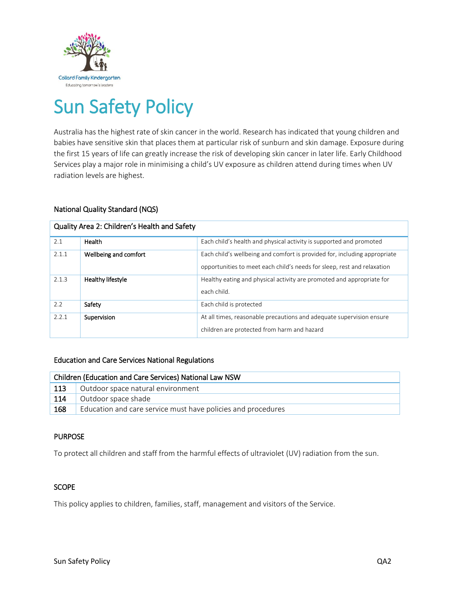

# Sun Safety Policy

Australia has the highest rate of skin cancer in the world. Research has indicated that young children and babies have sensitive skin that places them at particular risk of sunburn and skin damage. Exposure during the first 15 years of life can greatly increase the risk of developing skin cancer in later life. Early Childhood Services play a major role in minimising a child's UV exposure as children attend during times when UV radiation levels are highest.

## National Quality Standard (NQS)

| Quality Area 2: Children's Health and Safety |                       |                                                                                                                                                      |  |  |
|----------------------------------------------|-----------------------|------------------------------------------------------------------------------------------------------------------------------------------------------|--|--|
| 2.1                                          | Health                | Each child's health and physical activity is supported and promoted                                                                                  |  |  |
| 2.1.1                                        | Wellbeing and comfort | Each child's wellbeing and comfort is provided for, including appropriate<br>opportunities to meet each child's needs for sleep, rest and relaxation |  |  |
| 2.1.3                                        | Healthy lifestyle     | Healthy eating and physical activity are promoted and appropriate for<br>each child.                                                                 |  |  |
| 2.2                                          | Safety                | Each child is protected                                                                                                                              |  |  |
| 2.2.1                                        | Supervision           | At all times, reasonable precautions and adequate supervision ensure<br>children are protected from harm and hazard                                  |  |  |

#### Education and Care Services National Regulations

| Children (Education and Care Services) National Law NSW |                                                              |  |  |
|---------------------------------------------------------|--------------------------------------------------------------|--|--|
| 113                                                     | Outdoor space natural environment                            |  |  |
| 114                                                     | Outdoor space shade                                          |  |  |
| 168                                                     | Education and care service must have policies and procedures |  |  |

# PURPOSE

To protect all children and staff from the harmful effects of ultraviolet (UV) radiation from the sun.

#### **SCOPE**

This policy applies to children, families, staff, management and visitors of the Service.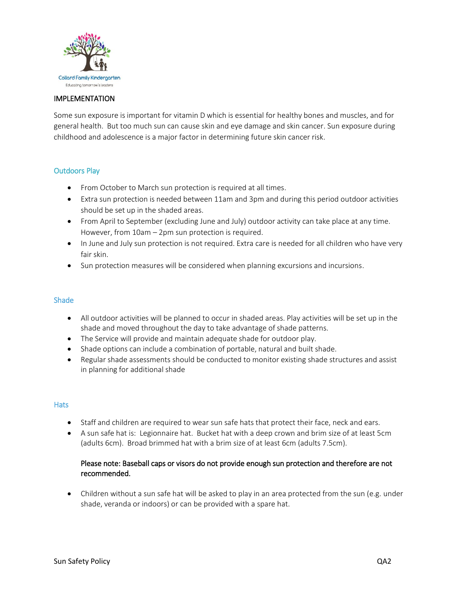

### IMPLEMENTATION

Some sun exposure is important for vitamin D which is essential for healthy bones and muscles, and for general health. But too much sun can cause skin and eye damage and skin cancer. Sun exposure during childhood and adolescence is a major factor in determining future skin cancer risk.

## Outdoors Play

- From October to March sun protection is required at all times.
- Extra sun protection is needed between 11am and 3pm and during this period outdoor activities should be set up in the shaded areas.
- From April to September (excluding June and July) outdoor activity can take place at any time. However, from 10am – 2pm sun protection is required.
- In June and July sun protection is not required. Extra care is needed for all children who have very fair skin.
- Sun protection measures will be considered when planning excursions and incursions.

### Shade

- All outdoor activities will be planned to occur in shaded areas. Play activities will be set up in the shade and moved throughout the day to take advantage of shade patterns.
- The Service will provide and maintain adequate shade for outdoor play.
- Shade options can include a combination of portable, natural and built shade.
- Regular shade assessments should be conducted to monitor existing shade structures and assist in planning for additional shade

#### **Hats**

- Staff and children are required to wear sun safe hats that protect their face, neck and ears.
- A sun safe hat is: Legionnaire hat. Bucket hat with a deep crown and brim size of at least 5cm (adults 6cm). Broad brimmed hat with a brim size of at least 6cm (adults 7.5cm).

## Please note: Baseball caps or visors do not provide enough sun protection and therefore are not recommended.

 Children without a sun safe hat will be asked to play in an area protected from the sun (e.g. under shade, veranda or indoors) or can be provided with a spare hat.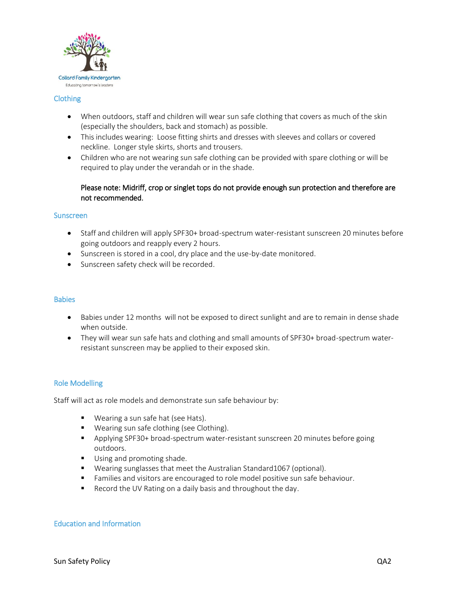

### Clothing

- When outdoors, staff and children will wear sun safe clothing that covers as much of the skin (especially the shoulders, back and stomach) as possible.
- This includes wearing: Loose fitting shirts and dresses with sleeves and collars or covered neckline. Longer style skirts, shorts and trousers.
- Children who are not wearing sun safe clothing can be provided with spare clothing or will be required to play under the verandah or in the shade.

# Please note: Midriff, crop or singlet tops do not provide enough sun protection and therefore are not recommended.

#### **Sunscreen**

- Staff and children will apply SPF30+ broad-spectrum water-resistant sunscreen 20 minutes before going outdoors and reapply every 2 hours.
- Sunscreen is stored in a cool, dry place and the use-by-date monitored.
- Sunscreen safety check will be recorded.

#### **Babies**

- Babies under 12 months will not be exposed to direct sunlight and are to remain in dense shade when outside.
- They will wear sun safe hats and clothing and small amounts of SPF30+ broad-spectrum waterresistant sunscreen may be applied to their exposed skin.

# Role Modelling

Staff will act as role models and demonstrate sun safe behaviour by:

- **Wearing a sun safe hat (see Hats).**
- **Wearing sun safe clothing (see Clothing).**
- Applying SPF30+ broad-spectrum water-resistant sunscreen 20 minutes before going outdoors.
- **Using and promoting shade.**
- Wearing sunglasses that meet the Australian Standard1067 (optional).
- **Families and visitors are encouraged to role model positive sun safe behaviour.**
- Record the UV Rating on a daily basis and throughout the day.

## Education and Information